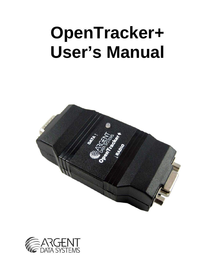# **OpenTracker+ User's Manual**



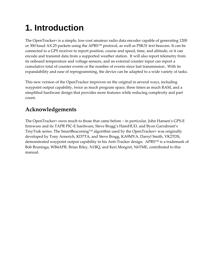## <span id="page-1-0"></span>**1. Introduction**

The OpenTracker+ is a simple, low‐cost amateur radio data encoder capable of generating 1200 or 300 baud AX.25 packets using the APRS™ protocol, as well as PSK31 text beacons. It can be connected to a GPS receiver to report position, course and speed, time, and altitude, or it can encode and transmit data from a supported weather station. It will also report telemetry from its onboard temperature and voltage sensors, and an external counter input can report a cumulative total of counter events or the number of events since last transmission.. With its expandability and ease of reprogramming, the device can be adapted to a wide variety of tasks.

This new version of the OpenTracker improves on the original in several ways, including waypoint output capability, twice as much program space, three times as much RAM, and a simplified hardware design that provides more features while reducing complexity and part count.

### **Acknowledgements**

The OpenTracker+ owes much to those that came before – in particular, John Hansen's GPS‐E firmware and its TAPR PIC‐E hardware, Steve Bragg's HamHUD, and Byon Garrabrant's TinyTrak series. The SmartBeaconing™ algorithm used by the OpenTracker+ was originally developed by Tony Arnerich, KD7TA, and Steve Bragg, KA9MVA. Darryl Smith, VK2TDS, demonstrated waypoint output capability in his Anti-Tracker design. APRS™ is a trademark of Bob Bruninga, WB4APR. Brian Riley, N1BQ, and Keri Morgret, N6TME, contributed to this manual.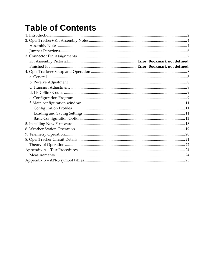### **Table of Contents**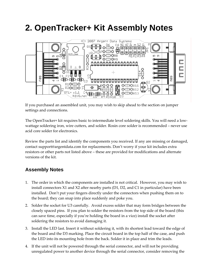### <span id="page-3-0"></span>**2. OpenTracker+ Kit Assembly Notes**



If you purchased an assembled unit, you may wish to skip ahead to the section on jumper settings and connections.

The OpenTracker+ kit requires basic to intermediate level soldering skills. You will need a low‐ wattage soldering iron, wire cutters, and solder. Rosin core solder is recommended – never use acid core solder for electronics.

Review the parts list and identify the components you received. If any are missing or damaged, contact support@argentdata.com for replacements. Don't worry if your kit includes extra resistors or other parts not listed above – these are provided for modifications and alternate versions of the kit.

#### **Assembly Notes**

- 1. The order in which the components are installed is not critical. However, you may wish to install connectors X1 and X2 after nearby parts (D1, D2, and C1 in particular) have been installed. Don't put your fingers directly under the connectors when pushing them on to the board; they can snap into place suddenly and poke you.
- 2. Solder the socket for U3 carefully. Avoid excess solder that may form bridges between the closely spaced pins. If you plan to solder the resistors from the top side of the board (this can save time, especially if you're holding the board in a vice) install the socket after soldering the resistors to avoid damaging it.
- 3. Install the LED last. Insert it without soldering it, with its shortest lead toward the edge of the board and the D3 marking. Place the circuit board in the top half of the case, and push the LED into its mounting hole from the back. Solder it in place and trim the leads.
- 4. If the unit will not be powered through the serial connector, and will not be providing unregulated power to another device through the serial connector, consider removing the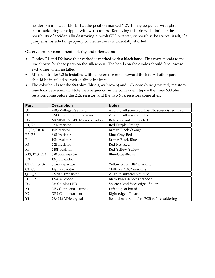header pin in header block J1 at the position marked '12'. It may be pulled with pliers before soldering, or clipped with wire cutters. Removing this pin will eliminate the possibility of accidentally destroying a 5‐volt GPS receiver, or possibly the tracker itself, if a jumper is installed improperly or the header is accidentally shorted.

Observe proper component polarity and orientation:

- Diodes D1 and D2 have their cathodes marked with a black band. This corresponds to the line shown for these parts on the silkscreen. The bands on the diodes should face toward each other when installed.
- Microcontroller U3 is installed with its reference notch toward the left. All other parts should be installed as their outlines indicate.
- The color bands for the 680 ohm (blue-gray-brown) and 6.8k ohm (blue-gray-red) resistors may look very similar. Note their sequence on the component tape – the three 680 ohm resistors come before the 2.2k resistor, and the two 6.8k resistors come after.

| Part                            | <b>Description</b>            | <b>Notes</b>                                       |
|---------------------------------|-------------------------------|----------------------------------------------------|
| U1                              | 7805 Voltage Regulator        | Align to silkscreen outline. No screw is required. |
| U <sub>2</sub>                  | LM335Z temperature sensor     | Align to silkscreen outline                        |
| U <sub>3</sub>                  | MC908JL16CSPE Microcontroller | Reference notch faces left                         |
| R1, R8                          | 27 K resistor                 | Red-Purple-Orange                                  |
| R2, R5, R10, R11                | 10K resistor                  | Brown-Black-Orange                                 |
| R3, R7                          | 6.8K resistor                 | Blue-Gray-Red                                      |
| R4                              | 10M resistor                  | Brown-Black-Blue                                   |
| R <sub>6</sub>                  | 2.2K resistor                 | Red-Red-Red                                        |
| R <sub>9</sub>                  | 240K resistor                 | Red-Yellow-Yellow                                  |
| R12, R13, R14                   | 680 ohm resistor              | Blue-Gray-Brown                                    |
| IP1                             | 12-pin header                 |                                                    |
| C1, C2, C3, C6                  | 0.1uF capacitor               | Yellow with "104" marking                          |
| C <sub>4</sub> , C <sub>5</sub> | 18pF capacitor                | "180j" or "180" marking                            |
| Q1, Q2                          | 2N7000 transistor             | Align to silkscreen outline                        |
| D1, D2                          | 1N4148 diode                  | Black band denotes cathode                         |
| D <sub>3</sub>                  | Dual-Color LED                | Shortest lead faces edge of board                  |
| X1                              | DB9 Connector - female        | Left edge of board                                 |
| X2                              | DB9 Connector - male          | Right edge of board                                |
| Y1                              | 29.4912 MHz crystal           | Bend down parallel to PCB before soldering         |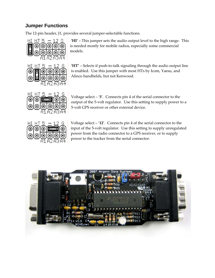#### <span id="page-5-0"></span>**Jumper Functions**

The 12-pin header, J1, provides several jumper-selectable functions.



**'HI'** – This jumper sets the audio output level to the high range. This is needed mostly for mobile radios, especially some commercial models.



**'HT'** – Selects if push‐to‐talk signaling through the audio output line is enabled. Use this jumper with most HTs by Icom, Yaesu, and Alinco handhelds, but not Kenwood.



Voltage select – '**5**'. Connects pin 4 of the serial connector to the output of the 5‐volt regulator. Use this setting to supply power to a 5‐volt GPS receiver or other external device.



Voltage select – '**12**'. Connects pin 4 of the serial connector to the input of the 5‐volt regulator. Use this setting to supply unregulated power from the radio connector to a GPS receiver, or to supply power to the tracker from the serial connector.

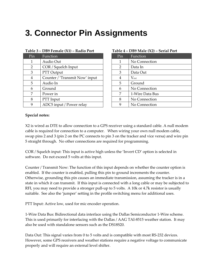### <span id="page-6-0"></span>**3. Connector Pin Assignments**

| Pin            | <b>Function</b>                |  | Pin | Function        |
|----------------|--------------------------------|--|-----|-----------------|
| 1              | Audio Out                      |  | 1   | No Connection   |
| $\overline{2}$ | COR / Squelch Input            |  | 2   | Data In         |
| 3              | PTT Output                     |  | 3   | Data Out        |
| 4              | Counter / 'Transmit Now' input |  | 4   | $V_{\rm ext}$   |
| 5              | Audio In                       |  | 5   | Ground          |
| 6              | Ground                         |  | 6   | No Connection   |
| 7              | Power in                       |  | 7   | 1-Wire Data Bus |
| 8              | PTT Input                      |  | 8   | No Connection   |
| 9              | ADC5 input / Power relay       |  | 9   | No Connection   |

#### **Table 3 – DB9 Female (X1) – Radio Port Table 4 – DB9 Male (X2) – Serial Port**

| Pin | Function        |  |  |
|-----|-----------------|--|--|
| 1   | No Connection   |  |  |
| 2   | Data In         |  |  |
| 3   | Data Out        |  |  |
| 4   | $V_{ext}$       |  |  |
| 5   | Ground          |  |  |
| 6   | No Connection   |  |  |
| 7   | 1-Wire Data Bus |  |  |
| 8   | No Connection   |  |  |
|     | No Connection   |  |  |

#### **Special notes:**

X2 is wired as DTE to allow connection to a GPS receiver using a standard cable. A null modem cable is required for connection to a computer. When wiring your own null modem cable, swap pins 2 and 3 (pin 2 on the PC connects to pin 3 on the tracker and vice versa) and wire pin 5 straight through. No other connections are required for programming.

COR / Squelch input: This input is active high unless the 'Invert CD' option is selected in software. Do not exceed 5 volts at this input.

Counter / Transmit Now: The function of this input depends on whether the counter option is enabled. If the counter is enabled, pulling this pin to ground increments the counter. Otherwise, grounding this pin causes an immediate transmission, assuming the tracker is in a state in which it can transmit. If this input is connected with a long cable or may be subjected to RFI, you may need to provide a stronger pull-up to 5 volts. A 10k or 4.7k resistor is usually suitable. See also the 'jumper' setting in the profile switching menu for additional uses.

PTT Input: Active low, used for mic encoder operation.

1‐Wire Data Bus: Bidirectional data interface using the Dallas Semiconductor 1‐Wire scheme. This is used primarily for interfacing with the Dallas / AAG TAI-8515 weather station. It may also be used with standalone sensors such as the DS18S20.

Data Out: This signal varies from 0 to 5 volts and is compatible with most RS-232 devices. However, some GPS receivers and weather stations require a negative voltage to communicate properly and will require an external level shifter.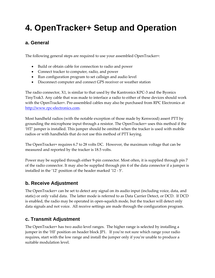### <span id="page-7-0"></span>**4. OpenTracker+ Setup and Operation**

#### **a. General**

The following general steps are required to use your assembled OpenTracker+:

- Build or obtain cable for connection to radio and power
- Connect tracker to computer, radio, and power
- Run configuration program to set callsign and audio level
- Disconnect computer and connect GPS receiver or weather station

The radio connector, X1, is similar to that used by the Kantronics KPC‐3 and the Byonics TinyTrak3. Any cable that was made to interface a radio to either of these devices should work with the OpenTracker+. Pre-assembled cables may also be purchased from RPC Electronics at [http://www.rpc](http://www.rpc-electronics.com/)-electronics.com.

Most handheld radios (with the notable exception of those made by Kenwood) assert PTT by grounding the microphone input through a resistor. The OpenTracker+ uses this method if the 'HT' jumper is installed. This jumper should be omitted when the tracker is used with mobile radios or with handhelds that do not use this method of PTT keying.

The OpenTracker+ requires 6.7 to 28 volts DC. However, the maximum voltage that can be measured and reported by the tracker is 18.5 volts.

Power may be supplied through either 9‐pin connector. Most often, it is supplied through pin 7 of the radio connector. It may also be supplied through pin 4 of the data connector if a jumper is installed in the '12' position of the header marked '12 ‐ 5'.

#### **b. Receive Adjustment**

The OpenTracker+ can be set to detect any signal on its audio input (including voice, data, and static) or only valid data. The latter mode is referred to as Data Carrier Detect, or DCD. If DCD is enabled, the radio may be operated in open‐squelch mode, but the tracker will detect only data signals and not voice. All receive settings are made through the configuration program.

#### **c. Transmit Adjustment**

The OpenTracker+ has two audio level ranges. The higher range is selected by installing a jumper in the 'HI' position on header block JP1. If you're not sure which range your radio requires, start with the low range and install the jumper only if you're unable to produce a suitable modulation level.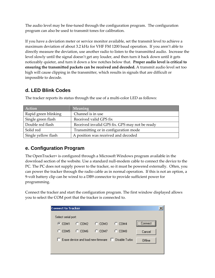<span id="page-8-0"></span>The audio level may be fine-tuned through the configuration program. The configuration program can also be used to transmit tones for calibration.

If you have a deviation meter or service monitor available, set the transmit level to achieve a maximum deviation of about 3.2 kHz for VHF FM 1200 baud operation. If you aren't able to directly measure the deviation, use another radio to listen to the transmitted audio. Increase the level slowly until the signal doesn't get any louder, and then turn it back down until it gets noticeably quieter, and turn it down a few notches below that. **Proper audio level is critical to ensuring the transmitted packets can be received and decoded.** A transmit audio level set too high will cause clipping in the transmitter, which results in signals that are difficult or impossible to decode.

#### **d. LED Blink Codes**

| Action               | Meaning                                        |  |
|----------------------|------------------------------------------------|--|
| Rapid green blinking | Channel is in use                              |  |
| Single green flash   | Received valid GPS fix                         |  |
| Double red flash     | Received invalid GPS fix. GPS may not be ready |  |
| Solid red            | Transmitting or in configuration mode          |  |
| Single yellow flash  | A position was received and decoded            |  |

The tracker reports its status through the use of a multi-color LED as follows:

#### **e. Configuration Program**

The OpenTracker+ is configured through a Microsoft Windows program available in the download section of the website. Use a standard null‐modem cable to connect the device to the PC. The PC does not supply power to the tracker, so it must be powered externally. Often, you can power the tracker through the radio cable as in normal operation. If this is not an option, a 9‐volt battery clip can be wired to a DB9 connector to provide sufficient power for programming.

Connect the tracker and start the configuration program. The first window displayed allows you to select the COM port that the tracker is connected to.

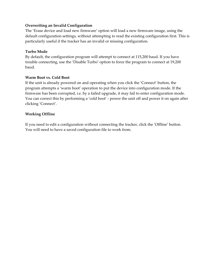#### **Overwriting an Invalid Configuration**

The 'Erase device and load new firmware' option will load a new firmware image, using the default configuration settings, without attempting to read the existing configuration first. This is particularly useful if the tracker has an invalid or missing configuration.

#### **Turbo Mode**

By default, the configuration program will attempt to connect at 115,200 baud. If you have trouble connecting, use the 'Disable Turbo' option to force the program to connect at 19,200 baud.

#### **Warm Boot vs. Cold Boot**

If the unit is already powered on and operating when you click the 'Connect' button, the program attempts a 'warm boot' operation to put the device into configuration mode. If the firmware has been corrupted, i.e. by a failed upgrade, it may fail to enter configuration mode. You can correct this by performing a 'cold boot' ‐ power the unit off and power it on again after clicking 'Connect'.

#### **Working Offline**

If you need to edit a configuration without connecting the tracker, click the 'Offline' button. You will need to have a saved configuration file to work from.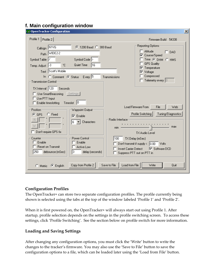#### <span id="page-10-0"></span>**f. Main configuration window**

| <b>DenTracker Configuration</b>                                                                                                                                                                                                                                                                                                                                                                                                                                                                                                                                                                                                                                                                           | 즤                                                                                                                                                                                                                                                                                                                                                                                                                                                              |
|-----------------------------------------------------------------------------------------------------------------------------------------------------------------------------------------------------------------------------------------------------------------------------------------------------------------------------------------------------------------------------------------------------------------------------------------------------------------------------------------------------------------------------------------------------------------------------------------------------------------------------------------------------------------------------------------------------------|----------------------------------------------------------------------------------------------------------------------------------------------------------------------------------------------------------------------------------------------------------------------------------------------------------------------------------------------------------------------------------------------------------------------------------------------------------------|
| Profile 1<br>Profile 2                                                                                                                                                                                                                                                                                                                                                                                                                                                                                                                                                                                                                                                                                    | Firmware Build 54338                                                                                                                                                                                                                                                                                                                                                                                                                                           |
| Callsign N1VG<br>4 1200 Baud 4 300 Baud<br>Path WIDE2-2<br>Symbol Table  /<br>Symbol Code ><br>Quiet Time<br>۴C<br>16<br>Temp. Adjust <sup>1-3</sup><br>Text Scott's Mobile<br>Every $5$<br>In C Comment C Status<br>Transmissions<br><b>Transmission Control</b><br>$TX$ Interval $ 120 $<br>Seconds<br>Use SmartBeaconing<br>Settings<br>Use PTT Input<br>10<br>Enable timeslotting<br>Timeslot<br>Position:<br>Waypoint Output:<br>$C$ Fixed<br>$G$ GPS<br>$\nabla$ Enable<br>Radio Interface<br>Characters<br>6<br>min -<br>Don't require GPS fix<br>Power Control-<br>Counter<br>100<br>Enable<br>Enable<br><b>Reset on Transmit</b><br>Active Low<br>250<br>3<br>debounce (mSec)<br>delay (seconds) | Reporting Options:<br>Altitude<br>$\Box$ DAO<br>Course/Speed<br>Time G DHM O HMS<br>GPS Quality<br>Temperature<br>⊮<br>Voltage<br> ∨<br>Compressed<br>Telemetry every $ 0\rangle$<br>Load Firmware From<br>File<br>Web<br>Tuning/Diagnostics<br>Profile Switching<br>.<br>max<br>TX Audio Level<br>TX Delay (mSec)<br>Don't transmit if supply $\langle 0.00 \rangle$<br>Volts<br><b>▽</b> Software DCD<br>Invert Carrier Detect<br>Suppress PTT out on PTT in |
| Copy from Profile 2<br>Save to File<br>C English<br>C Metric                                                                                                                                                                                                                                                                                                                                                                                                                                                                                                                                                                                                                                              | Load from File<br>Write<br>Quit                                                                                                                                                                                                                                                                                                                                                                                                                                |

#### **Configuration Profiles**

The OpenTracker+ can store two separate configuration profiles. The profile currently being shown is selected using the tabs at the top of the window labeled 'Profile 1' and 'Profile 2'.

When it is first powered on, the OpenTracker+ will always start out using Profile 1. After startup, profile selection depends on the settings in the profile switching screen. To access these settings, click 'Profile Switching'. See the section below on profile switch for more information.

#### **Loading and Saving Settings**

After changing any configuration options, you must click the 'Write' button to write the changes to the tracker's firmware. You may also use the 'Save to File' button to save the configuration options to a file, which can be loaded later using the 'Load from File' button.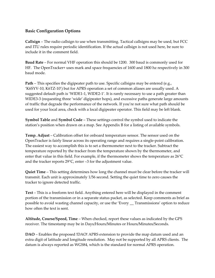#### <span id="page-11-0"></span>**Basic Configuration Options**

**Callsign** – The radio callsign to use when transmitting. Tactical callsigns may be used, but FCC and ITU rules require periodic identification. If the actual callsign is not used here, be sure to include it in the comment field.

**Baud Rate** – For normal VHF operation this should be 1200. 300 baud is commonly used for HF. The OpenTracker+ uses mark and space frequencies of 1600 and 1800 hz respectively in 300 baud mode.

**Path** – This specifies the digipeater path to use. Specific callsigns may be entered (e.g., 'K6SYV‐10, K6TZ‐10') but for APRS operation a set of common aliases are usually used. A suggested default path is 'WIDE1-1, WIDE2-1'. It is rarely necessary to use a path greater than WIDE3‐3 (requesting three 'wide' digipeater hops), and excessive paths generate large amounts of traffic that degrade the performance of the network. If you're not sure what path should be used for your local area, check with a local digipeater operator. This field may be left blank.

**Symbol Table** and **Symbol Code** – These settings control the symbol used to indicate the station's position when drawn on a map. See Appendix B for a listing of available symbols.

**Temp. Adjust** – Calibration offset for onboard temperature sensor. The sensor used on the OpenTracker is fairly linear across its operating range and requires a single‐point calibration. The easiest way to accomplish this is to set a thermometer next to the tracker. Subtract the temperature reported by the tracker from the temperature shown by the thermometer, and enter that value in this field. For example, if the thermometer shows the temperature as 26°C and the tracker reports 29°C, enter –3 for the adjustment value.

**Quiet Time** – This setting determines how long the channel must be clear before the tracker will transmit. Each unit is approximately 1/56 second. Setting the quiet time to zero causes the tracker to ignore detected traffic.

**Text** – This is a freeform text field. Anything entered here will be displayed in the comment portion of the transmission or in a separate status packet, as selected. Keep comments as brief as possible to avoid wasting channel capacity, or use the 'Every \_\_ Transmissions' option to reduce how often the text is sent.

**Altitude, Course/Speed, Time** – When checked, report these values as indicated by the GPS receiver. The timestamp may be in Days/Hours/Minutes or Hours/Minutes/Seconds.

**DAO** – Enables the proposed !DAO! APRS extension to provide the map datum used and an extra digit of latitude and longitude resolution. May not be supported by all APRS clients. The datum is always reported as WGS84, which is the standard for normal APRS operation.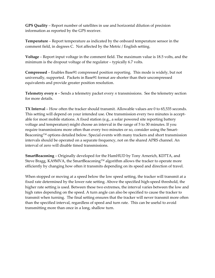**GPS Quality** – Report number of satellites in use and horizontal dilution of precision information as reported by the GPS receiver.

**Temperature** – Report temperature as indicated by the onboard temperature sensor in the comment field, in degrees C. Not affected by the Metric / English setting.

**Voltage** – Report input voltage in the comment field. The maximum value is 18.5 volts, and the minimum is the dropout voltage of the regulator – typically 6.7 volts.

**Compressed** – Enables Base91 compressed position reporting. This mode is widely, but not universally, supported. Packets in Base91 format are shorter than their uncompressed equivalents and provide greater position resolution.

**Telemetry every** *n* – Sends a telemetry packet every *n* transmissions. See the telemetry section for more details.

**TX Interval** – How often the tracker should transmit. Allowable values are 0 to 65,535 seconds. This setting will depend on your intended use. One transmission every two minutes is acceptable for most mobile stations. A fixed station (e.g., a solar powered site reporting battery voltage and temperature) might choose an interval in the range of 5 to 30 minutes. If you require transmissions more often than every two minutes or so, consider using the Smart-Beaconing™ options detailed below. Special events with many trackers and short transmission intervals should be operated on a separate frequency, not on the shared APRS channel. An interval of zero will disable timed transmissions.

**SmartBeaconing** – Originally developed for the HamHUD by Tony Arnerich, KD7TA, and Steve Bragg, KA9MVA, the SmartBeaconing™ algorithm allows the tracker to operate more efficiently by changing how often it transmits depending on its speed and direction of travel.

When stopped or moving at a speed below the low speed setting, the tracker will transmit at a fixed rate determined by the lower rate setting. Above the specified high‐speed threshold, the higher rate setting is used. Between these two extremes, the interval varies between the low and high rates depending on the speed. A turn angle can also be specified to cause the tracker to transmit when turning. The final setting ensures that the tracker will never transmit more often than the specified interval, regardless of speed and turn rate. This can be useful to avoid transmitting more than once in a long, shallow turn.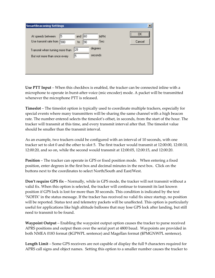| <b>SmartBeaconing Settings</b>                                  |                                            | ×               |
|-----------------------------------------------------------------|--------------------------------------------|-----------------|
| 5<br>At speeds between<br>Use transmit rate from<br>900         | 60<br><b>MPH</b><br>and<br>Sec<br>90<br>to | <br>\<br>Cancel |
| Transmit when turning more than<br>But not more than once every | degrees<br> 28<br>seconds<br>5             |                 |
|                                                                 |                                            |                 |

**Use PTT Input** – When this checkbox is enabled, the tracker can be connected inline with a microphone to operate in burst‐after‐voice (mic encoder) mode. A packet will be transmitted whenever the microphone PTT is released.

**Timeslot** – The timeslot option is typically used to coordinate multiple trackers, especially for special events where many transmitters will be sharing the same channel with a high beacon rate. The number entered selects the timeslot's offset, in seconds, from the start of the hour. The tracker will transmit at this time, and every transmit interval after that. The timeslot value should be smaller than the transmit interval.

As an example, two trackers could be configured with an interval of 10 seconds, with one tracker set to slot 0 and the other to slot 5. The first tracker would transmit at 12:00:00, 12:00:10, 12:00:20, and so on, while the second would transmit at 12:00:05, 12:00:15, and 12:00:20.

**Position** – The tracker can operate in GPS or fixed position mode. When entering a fixed position, enter degrees in the first box and decimal minutes in the next box. Click on the buttons next to the coordinates to select North/South and East/West.

**Don't require GPS fix** – Normally, while in GPS mode, the tracker will not transmit without a valid fix. When this option is selected, the tracker will continue to transmit its last known position if GPS lock is lost for more than 30 seconds. This condition is indicated by the text 'NOFIX' in the status message. If the tracker has received no valid fix since startup, no position will be reported. Status text and telemetry packets will be unaffected. This option is particularly useful for applications like high altitude balloons that may lose GPS lock after landing, but still need to transmit to be found.

**Waypoint Output** – Enabling the waypoint output option causes the tracker to parse received APRS positions and output them over the serial port at 4800 baud. Waypoints are provided in both NMEA 0183 format (\$GPWPL sentence) and Magellan format (\$PMGNWPL sentence).

**Length Limit** – Some GPS receivers are not capable of display the full 9 characters required for APRS call signs and object names. Setting this option to a smaller number causes the tracker to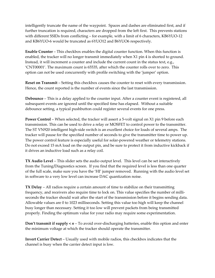intelligently truncate the name of the waypoint. Spaces and dashes are eliminated first, and if further truncation is required, characters are dropped from the left first. This prevents stations with different SSIDs from conflicting – for example, with a limit of 6 characters, KB6YUO-12 and KB6YUO‐6 would be truncated as 6YUO12 and B6YUO6 respectively.

**Enable Counter** – This checkbox enables the digital counter function. When this function is enabled, the tracker will no longer transmit immediately when X1 pin 4 is shorted to ground. Instead, it will increment a counter and include the current count in the status text, e.g., 'CNT00001'. The maximum count is 65535, after which the counter rolls over to zero. This option can not be used concurrently with profile switching with the 'jumper' option.

**Reset on Transmit** – Setting this checkbox causes the counter to reset with every transmission. Hence, the count reported is the number of events since the last transmission.

**Debounce** – This is a delay applied to the counter input. After a counter event is registered, all subsequent events are ignored until the specified time has elapsed. Without a suitable debounce setting, a typical pushbutton could register several events for one press.

**Power Control** – When selected, the tracker will assert a 5‐volt signal on X1 pin 9 before each transmission. This can be used to drive a relay or MOSFET to control power to the transmitter. The ST VN920 intelligent high‐side switch is an excellent choice for loads of several amps. The tracker will pause for the specified number of seconds to give the transmitter time to power up. The power control feature is especially useful for solar-powered weather or telemetry stations. Do not exceed 15 mA load on the output pin, and be sure to protect it from inductive kickback if it drives an inductive load such as a relay coil.

**TX Audio Level** – This slider sets the audio output level. This level can be set interactively from the Tuning/Diagnostics screen. If you find that the required level is less than one quarter of the full scale, make sure you have the 'HI' jumper removed. Running with the audio level set in software to a very low level can increase DAC quantization noise.

**TX Delay** – All radios require a certain amount of time to stabilize on their transmitting frequency, and receivers also require time to lock on. This value specifies the number of milliseconds the tracker should wait after the start of the transmission before it begins sending data. Allowable values are 0 to 1023 milliseconds. Setting this value too high will keep the channel busy longer than necessary. Setting it too low will prevent packets from being transmitted properly. Finding the optimum value for your radio may require some experimentation.

**Don't transmit if supply <** *n* – To avoid over‐discharging batteries, enable this option and enter the minimum voltage at which the tracker should operate the transmitter.

**Invert Carrier Detect** – Usually used with mobile radios, this checkbox indicates that the channel is busy when the carrier detect input is low.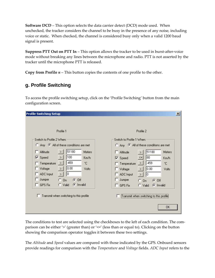**Software DCD** – This option selects the data carrier detect (DCD) mode used. When unchecked, the tracker considers the channel to be busy in the presence of any noise, including voice or static. When checked, the channel is considered busy only when a valid 1200 baud signal is present.

**Suppress PTT Out on PTT In** – This option allows the tracker to be used in burst‐after‐voice mode without breaking any lines between the microphone and radio. PTT is not asserted by the tracker until the microphone PTT is released.

**Copy from Profile** *n* – This button copies the contents of one profile to the other.

#### **g. Profile Switching**

To access the profile switching setup, click on the 'Profile Switching' button from the main configuration screen.

The conditions to test are selected using the checkboxes to the left of each condition. The comparison can be either '>' (greater than) or '<=' (less than or equal to). Clicking on the button showing the comparison operator toggles it between these two settings.

The *Altitude* and *Speed* values are compared with those indicated by the GPS. Onboard sensors provide readings for comparison with the *Temperature* and *Voltage* fields. *ADC Input* refers to the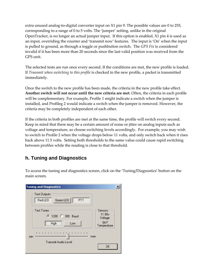extra unused analog-to-digital converter input on  $X1$  pin 9. The possible values are 0 to 255, corresponding to a range of 0 to 5 volts. The 'jumper' setting, unlike in the original OpenTracker, is no longer an actual jumper input. If this option is enabled, X1 pin 4 is used as an input, overriding the counter and 'transmit now' features. The input is 'On' when the input is pulled to ground, as through a toggle or pushbutton switch. The *GPS Fix* is considered invalid if it has been more than 20 seconds since the last valid position was received from the GPS unit.

The selected tests are run once every second. If the conditions are met, the new profile is loaded. If *Transmit when switching to this profile* is checked in the new profile, a packet is transmitted immediately.

Once the switch to the new profile has been made, the criteria in the new profile take effect. **Another switch will not occur until the new criteria are met**. Often, the criteria in each profile will be complementary. For example, Profile 1 might indicate a switch when the jumper is installed, and Profileg 2 would indicate a switch when the jumper is removed. However, the criteria may be completely independent of each other.

If the criteria in both profiles are met at the same time, the profile will switch every second. Keep in mind that there may be a certain amount of noise or jitter on analog inputs such as voltage and temperature, so choose switching levels accordingly. For example, you may wish to switch to Profile 2 when the voltage drops below 11 volts, and only switch back when it rises back above 11.5 volts. Setting both thresholds to the same value could cause rapid switching between profiles while the reading is close to that threshold.

#### **h. Tuning and Diagnostics**

To access the tuning and diagnostics screen, click on the 'Tuning/Diagnostics' button on the main screen.

| <b>Tuning and Diagnostics</b>                                                                                     |                                                     | × |
|-------------------------------------------------------------------------------------------------------------------|-----------------------------------------------------|---|
| <b>Test Outputs</b><br>Green LED<br>PTT<br><b>Red LED</b>                                                         |                                                     |   |
| <b>Test Tones</b><br>● 1200 ● 300 Baud<br><br>High<br>Low                                                         | Sensors<br>11.99v<br>Voltage<br>84 F<br>Temperature |   |
| $1 - 1 = 1$<br>.<br>$\blacksquare$<br>$\blacksquare$<br>$\mathbf{I}$<br>min<br>max<br><b>Transmit Audio Level</b> | OK                                                  |   |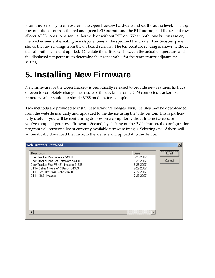<span id="page-17-0"></span>From this screen, you can exercise the OpenTracker+ hardware and set the audio level. The top row of buttons controls the red and green LED outputs and the PTT output, and the second row allows AFSK tones to be sent, either with or without PTT on. When both tone buttons are on, the tracker sends alternating mark/space tones at the specified baud rate. The 'Sensors' pane shows the raw readings from the on-board sensors. The temperature reading is shown without the calibration constant applied. Calculate the difference between the actual temperature and the displayed temperature to determine the proper value for the temperature adjustment setting.

### **5. Installing New Firmware**

New firmware for the OpenTracker+ is periodically released to provide new features, fix bugs, or even to completely change the nature of the device – from a GPS‐connected tracker to a remote weather station or simple KISS modem, for example.

Two methods are provided to install new firmware images. First, the files may be downloaded from the website manually and uploaded to the device using the 'File' button. This is particularly useful if you will be configuring devices on a computer without Internet access, or if you've compiled your own firmware. Second, by clicking on the 'Web' button, the configuration program will retrieve a list of currently available firmware images. Selecting one of these will automatically download the file from the website and upload it to the device.

| <b>Web Firmware Download</b>                                                                                                                                                                                                   |                                                                                    |                |
|--------------------------------------------------------------------------------------------------------------------------------------------------------------------------------------------------------------------------------|------------------------------------------------------------------------------------|----------------|
| Description<br>OpenTracker Plus firmware 54338<br>OpenTracker Plus SMT firmware 54338<br>OpenTracker Plus PSK31 firmware 54338<br>OT1+ Dallas 1-Wire WX Station 54303<br>OT1+ Peet Bros WX Station 54303<br>OT1+ KISS firmware | Date<br>8-26-2007<br>8-26-2007<br>8-26-2007<br>7-22-2007<br>7-22-2007<br>7-26-2007 | Load<br>Cancel |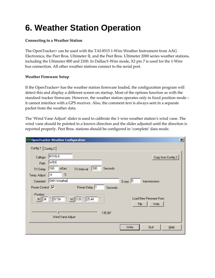### <span id="page-18-0"></span>**6. Weather Station Operation**

#### **Connecting to a Weather Station**

The OpenTracker+ can be used with the TAI‐8515 1‐Wire Weather Instrument from AAG Electronica, the Peet Bros. Ultimeter II, and the Peet Bros. Ultimeter 2000 series weather stations, including the Ultimeter 800 and 2100. In Dallas/1‐Wire mode, X2 pin 7 is used for the 1‐Wire bus connection. All other weather stations connect to the serial port.

#### **Weather Firmware Setup**

If the OpenTracker+ has the weather station firmware loaded, the configuration program will detect this and display a different screen on startup. Most of the options function as with the standard tracker firmware. However, the weather station operates only in fixed position mode – it cannot interface with a GPS receiver. Also, the comment text is always sent in a separate packet from the weather data.

The 'Wind Vane Adjust' slider is used to calibrate the 1‐wire weather station's wind vane. The wind vane should be pointed in a known direction and the slider adjusted until the direction is reported properly. Peet Bros. stations should be configured in 'complete' data mode.

|                            | ×l<br><b>(2) OpenTracker Weather Configuration</b>               |
|----------------------------|------------------------------------------------------------------|
| Config 1                   | Config 2                                                         |
| Callsign                   | N <sub>1VG-6</sub><br>Copy from Config 2                         |
| Path                       | WIDE                                                             |
| TX Delay                   | 300<br>160<br>mSec<br>Seconds<br><b>TX</b> Interval              |
| Temp. Adjust               | ۰c<br>-4                                                         |
| Comment                    | SMX Weather<br>15<br>Every<br>transmissions                      |
| Power Control <b>V</b>     | Power Delay  1<br>Seconds                                        |
| Position<br>34<br>$N \mid$ | Load New Firmware From<br>25.44<br>57.54<br>W 120<br>File<br>Web |
|                            | 135.00°                                                          |
|                            | Wind Vane Adjust                                                 |
|                            | Quit<br>Write<br>Help                                            |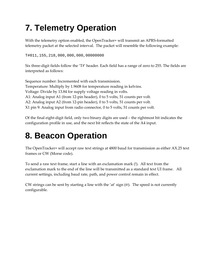### <span id="page-19-0"></span>**7. Telemetry Operation**

With the telemetry option enabled, the OpenTracker+ will transmit an APRS‐formatted telemetry packet at the selected interval. The packet will resemble the following example:

T#011,155,218,000,000,000,00000000

Six three-digit fields follow the 'T#' header. Each field has a range of zero to 255. The fields are interpreted as follows:

Sequence number: Incremented with each transmission. Temperature: Multiply by 1.9608 for temperature reading in kelvins. Voltage: Divide by 13.84 for supply voltage reading in volts. A1: Analog input A1 (from 12-pin header), 0 to 5 volts, 51 counts per volt. A2: Analog input A2 (from 12‐pin header), 0 to 5 volts, 51 counts per volt. X1 pin 9: Analog input from radio connector, 0 to 5 volts, 51 counts per volt.

Of the final eight-digit field, only two binary digits are used  $-$  the rightmost bit indicates the configuration profile in use, and the next bit reflects the state of the A4 input.

### **8. Beacon Operation**

The OpenTracker+ will accept raw text strings at 4800 baud for transmission as either AX.25 text frames or CW (Morse code).

To send a raw text frame, start a line with an exclamation mark (!). All text from the exclamation mark to the end of the line will be transmitted as a standard text UI frame. All current settings, including baud rate, path, and power control remain in effect.

CW strings can be sent by starting a line with the 'at' sign  $(\mathcal{Q})$ . The speed is not currently configurable.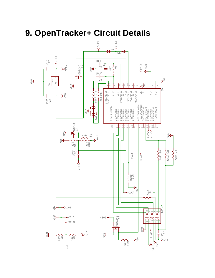

### <span id="page-20-0"></span>**9. OpenTracker+ Circuit Details**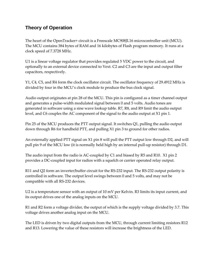#### <span id="page-21-0"></span>**Theory of Operation**

The heart of the OpenTracker+ circuit is a Freescale MC908JL16 microcontroller unit (MCU). The MCU contains 384 bytes of RAM and 16 kilobytes of Flash program memory. It runs at a clock speed of 7.3728 MHz.

U1 is a linear voltage regulator that provides regulated 5 VDC power to the circuit, and optionally to an external device connected to Vext. C2 and C3 are the input and output filter capacitors, respectively.

Y1, C4, C5, and R4 form the clock oscillator circuit. The oscillator frequency of 29.4912 MHz is divided by four in the MCU's clock module to produce the bus clock signal.

Audio output originates at pin 28 of the MCU. This pin is configured as a timer channel output and generates a pulse-width modulated signal between 0 and 5 volts. Audio tones are generated in software using a sine wave lookup table. R7, R8, and R9 limit the audio output level, and C6 couples the AC component of the signal to the audio output at X1 pin 1.

Pin 25 of the MCU produces the PTT output signal. It switches Q1, pulling the audio output down through R6 for handheld PTT, and pulling X1 pin 3 to ground for other radios.

An externally applied PTT signal on X1 pin 8 will pull the PTT output low through D2, and will pull pin 9 of the MCU low (it is normally held high by an internal pull-up resistor) through D1.

The audio input from the radio is AC-coupled by C1 and biased by R5 and R10. X1 pin 2 provides a DC‐coupled input for radios with a squelch or carrier operated relay output.

R11 and Q2 form an inverter/buffer circuit for the RS-232 input. The RS-232 output polarity is controlled in software. The output level swings between 0 and 5 volts, and may not be compatible with all RS‐232 devices.

U2 is a temperature sensor with an output of 10 mV per Kelvin. R3 limits its input current, and its output drives one of the analog inputs on the MCU.

R1 and R2 form a voltage divider, the output of which is the supply voltage divided by 3.7. This voltage drives another analog input on the MCU.

The LED is driven by two digital outputs from the MCU, through current limiting resistors R12 and R13. Lowering the value of these resistors will increase the brightness of the LED.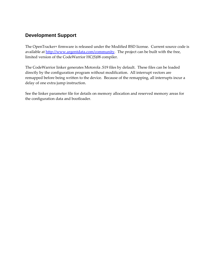#### **Development Support**

The OpenTracker+ firmware is released under the Modified BSD license. Current source code is available at <http://www.argentdata.com/community>. The project can be built with the free, limited version of the CodeWarrior HC(S)08 compiler.

The CodeWarrior linker generates Motorola .S19 files by default. These files can be loaded directly by the configuration program without modification. All interrupt vectors are remapped before being written to the device. Because of the remapping, all interrupts incur a delay of one extra jump instruction.

See the linker parameter file for details on memory allocation and reserved memory areas for the configuration data and bootloader.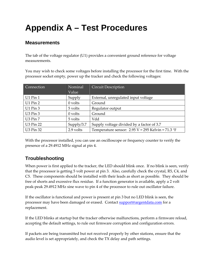### <span id="page-23-0"></span>**Appendix A – Test Procedures**

#### **Measurements**

The tab of the voltage regulator (U1) provides a convenient ground reference for voltage measurements.

You may wish to check some voltages before installing the processor for the first time. With the processor socket empty, power up the tracker and check the following voltages:

| Connection           | Nominal    | <b>Circuit Description</b>                            |
|----------------------|------------|-------------------------------------------------------|
|                      | Value      |                                                       |
| $U1$ Pin $1$         | Supply     | External, unregulated input voltage                   |
| $U1$ Pin 2           | $0$ volts  | Ground                                                |
| $U1$ Pin 3           | 5 volts    | Regulator output                                      |
| U <sub>3</sub> Pin 3 | $0$ volts  | Ground                                                |
| U3 Pin 7             | 5 volts    | Vdd                                                   |
| <b>U3 Pin 22</b>     | Supply/3.7 | Supply voltage divided by a factor of 3.7             |
| <b>U3 Pin 32</b>     | 2.9 volts  | Temperature sensor: $2.95 V = 295$ Kelvin = $71.3$ °F |

With the processor installed, you can use an oscilloscope or frequency counter to verify the presence of a 29.4912 MHz signal at pin 4.

#### **Troubleshooting**

When power is first applied to the tracker, the LED should blink once. If no blink is seen, verify that the processor is getting 5 volt power at pin 3. Also, carefully check the crystal, R5, C4, and C5. These components should be installed with their leads as short as possible. They should be free of shorts and excessive flux residue. If a function generator is available, apply a 2 volt peak‐peak 29.4912 MHz sine wave to pin 4 of the processor to rule out oscillator failure.

If the oscillator is functional and power is present at pin 3 but no LED blink is seen, the processor may have been damaged or erased. Contact [support@argentdata.com](mailto:support@argentdata.com) for a replacement.

If the LED blinks at startup but the tracker otherwise malfunctions, perform a firmware reload, accepting the default settings, to rule out firmware corruption and configuration errors.

If packets are being transmitted but not received properly by other stations, ensure that the audio level is set appropriately, and check the TX delay and path settings.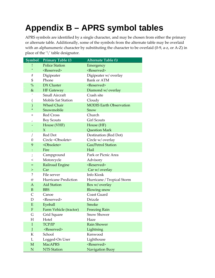## <span id="page-24-0"></span>**Appendix B – APRS symbol tables**

APRS symbols are identified by a single character, and may be chosen from either the primary or alternate table. Additionally, some of the symbols from the alternate table may be overlaid with an alphanumeric character by substituting the character to be overlaid (0-9, a-z, or A-Z) in place of the '\' table designator.

| Symbol         | Primary Table (/)           | Alternate Table (\)            |
|----------------|-----------------------------|--------------------------------|
|                | <b>Police Station</b>       | Emergency                      |
| Ħ              | <reserved></reserved>       | <reserved></reserved>          |
| #              | Digipeater                  | Digipeater w/ overlay          |
| $\mathfrak{S}$ | Phone                       | <b>Bank or ATM</b>             |
| $\%$           | <b>DX</b> Cluster           | <reserved></reserved>          |
| $\&$           | <b>HF</b> Gateway           | Diamond w/ overlay             |
|                | <b>Small Aircraft</b>       | Crash site                     |
| (              | Mobile Sat Station          | Cloudy                         |
| $\mathcal{)}$  | <b>Wheel Chair</b>          | <b>MODIS Earth Observation</b> |
| *              | Snowmobile                  | Snow                           |
| $\ddot{}$      | Red Cross                   | Church                         |
| $\prime$       | <b>Boy Scouts</b>           | <b>Girl Scouts</b>             |
|                | House (VHF)                 | House (HF)                     |
|                | $\chi$                      | <b>Question Mark</b>           |
| $\prime$       | Red Dot                     | Destination (Red Dot)          |
| 0              | Circle < Obsolete>          | Circle w/ overlay              |
| 9              | <obsolete></obsolete>       | Gas/Petrol Station             |
|                | Fire                        | Hail                           |
| $\cdot$        | Campground                  | Park or Picnic Area            |
| $\,<\,$        | Motorcycle                  | Advisory                       |
| =              | Railroad Engine             | <reserved></reserved>          |
| $\rm{>}$       | Car                         | Car w/ overlay                 |
| ?              | File server                 | Info Kiosk                     |
| $\circleda$    | <b>Hurricane Prediction</b> | Hurricane / Tropical Storm     |
| A              | <b>Aid Station</b>          | Box w/ overlay                 |
| B              | <b>BBS</b>                  | <b>Blowing snow</b>            |
| $\mathsf{C}$   | Canoe                       | Coast Guard                    |
| D              | <reserved></reserved>       | <b>Drizzle</b>                 |
| E              | Eyeball                     | Smoke                          |
| ${\bf F}$      | Farm Vehicle (tractor)      | <b>Freezing Rain</b>           |
| G              | Grid Square                 | <b>Snow Shower</b>             |
| Η              | Hotel                       | Haze                           |
| $\mathbf I$    | TCP/IP                      | <b>Rain Shower</b>             |
| J              | <reserved></reserved>       | Lightning                      |
| ${\bf K}$      | School                      | Kenwood                        |
| $\mathbf L$    | Logged-On User              | Lighthouse                     |
| $\mathbf M$    | <b>MacAPRS</b>              | <reserved></reserved>          |
| ${\bf N}$      | <b>NTS Station</b>          | Navigation Buoy                |